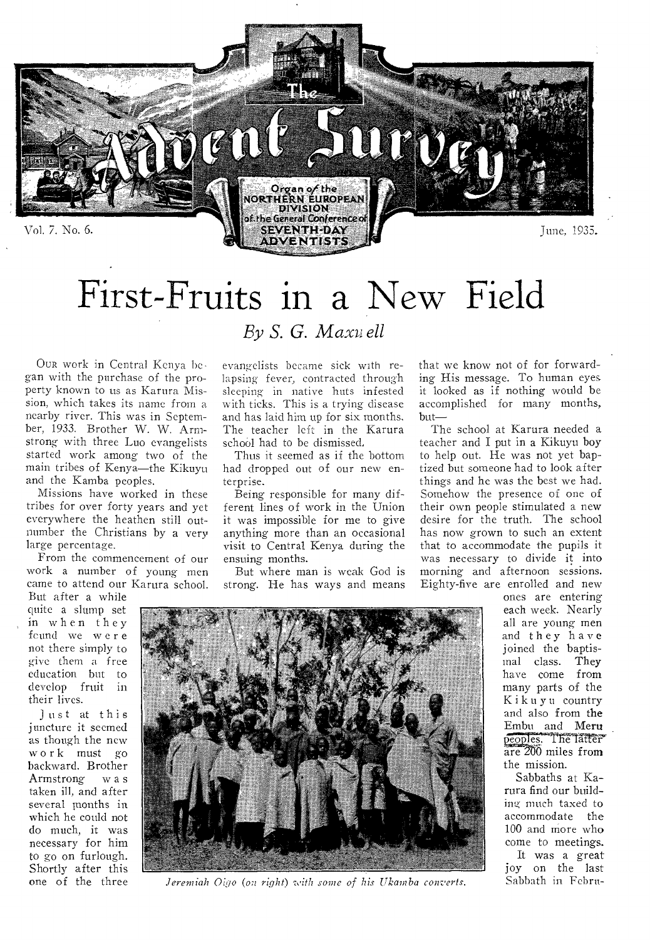

# First-Fruits in a New Field

*By S. G. Maxis ell* 

OUR work in Central Kenya be gan with the purchase of the property known to us as Karura Mission, which takes its name from a nearby river. This was in September, 1933. Brother W. W. Armstrong with three Luo evangelists started work among two of the main tribes of Kenya—the Kikuyu and the Kamba peoples.

Missions have worked in these tribes for over forty years and yet everywhere the heathen still outnumber the Christians by a very large percentage.

From the commencement of our work a number of young men came to attend our Karura school.

But after a while quite a slump set in when they fcund we were not there simply to give them a free education but to develop fruit in their lives.

Just at this juncture it seemed as though the new work must go backward. Brother Armstrong w a s taken ill, and after several months in which he could not do much, it was necessary for him to go on furlough. Shortly after this one of the three evangelists became sick with relapsing fever, contracted through sleeping in native huts infested with ticks. This is a trying disease and has laid him up for six months. The teacher left in the Karura school had to be dismissed,

Thus it seemed as if the bottom had dropped out of our new enterprise.

Being responsible for many different lines of work in the Union it was impossible for me to give anything more than an occasional visit to Central Kenya during the ensuing months.

But where man is weak God is strong. He has ways and means

that we know not of for forwarding His message. To human eyes it looked as if nothing would be accomplished for many months, but—

The school at Karura needed a teacher and I put in a Kikuyu boy to help out. He was not yet baptized but someone had to look after things and he was the best we had. Somehow the presence of one of their own people stimulated a new desire for the truth. The school has now grown to such an extent that to accommodate the pupils it was necessary to divide it into morning and afternoon sessions. Eighty-five are enrolled and new

ones are entering each week. Nearly all are young men and they have joined the baptismal class. They have come from many parts of the Kikuyu country and also from the Embu and Meru peoples. The latter  $\frac{1}{\pi}$   $\frac{200}{\pi}$  miles from the mission.

Sabbaths at Karura find our building much taxed to accommodate the 100 and more who come to meetings. It was a great joy on the last

Sabbath in Febru-



*Jeremiah Oigo (on right) with some of his Ukamba converts.*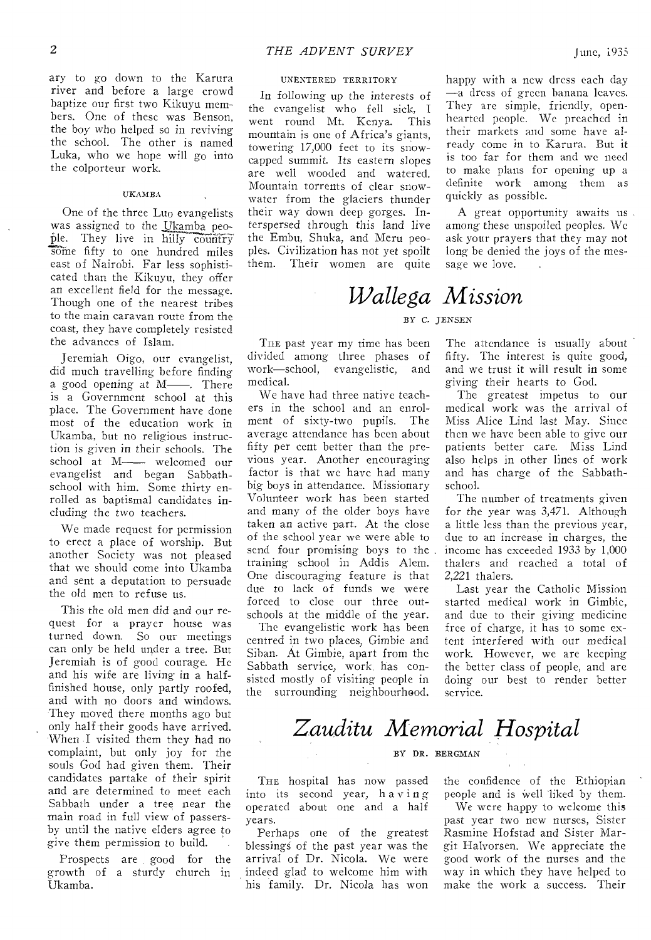ary to go down to the Karura river and before a large crowd baptize our first two Kikuyu members. One of these was Benson, the boy who helped so in reviving the school. The other is named Luka, who we hope will go into the colporteur work.

#### UKAMBA

One of the three Luo evangelists was assigned to the Ukamba people. They live in hilly country some fifty to one hundred miles east of Nairobi. Far less sophisticated than the Kikuyu, they offer an excellent field for the message. Though one of the nearest tribes to the main caravan route from the coast, they have completely resisted the advances of Islam.

Jeremiah Oigo, our evangelist, did much travelling before finding a good opening at  $M$ —. There is a Government school at this place. The Government have done most of the education work in Ukamba, but no religious instruction is *given* in their schools. The school at M— welcomed our evangelist and began Sabbathschool with him. Some thirty enrolled as baptismal candidates including the two teachers.

We made request for permission to erect a place of worship. But another Society was not pleased that we should come into Ukamba and sent a deputation to persuade the old men to refuse us.

This the old men did and our request for a prayer house was turned down. So our meetings can only be held under a tree. But Jeremiah is of good courage. He and his wife are living in a halffinished house, only partly roofed, and with no doors and windows. They moved there months ago but only half their goods have arrived. When ,I visited them they had no complaint, but only joy for the souls God had given them. Their candidates partake of their spirit and are determined to meet each Sabbath under a tree near the main road in full view of passersby until the native elders agree to give them permission to build.

Prospects are, good for the growth of a sturdy church in Ukamba.

#### UNENTERED TERRITORY

In following up the interests of the evangelist who fell sick, I went round Mt. Kenya. This mountain is one of Africa's giants, towering 17,000 feet to its snowcapped summit. Its eastern slopes are well wooded and watered. Mountain torrents of clear snowwater from the glaciers thunder their way down deep gorges. Interspersed through this land live the Embu, Shuka, and Meru peoples. Civilization has not yet spoilt them. Their women are quite

hearted people. We preached in their markets and some have already come in to Karura. But it is too far for them and we need to make plans for opening up a definite work among them as quickly as possible.

happy with a new dress each day —a dress of green banana leaves. They are simple, friendly, open-

A great opportunity awaits us among these unspoiled peoples. We ask your prayers that they may not long be denied the joys of the message we love.

### *Wallega Mission*

#### BY C. JENSEN

TI1E past year my time has been divided among three phases of work—school, evangelistic, and medical.

We have had three native teachers in the school and an enrol-<br>ment of sixty-two pupils. The ment of sixty-two pupils. average attendance has been about fifty per cent better than the previous year. Another encouraging factor is that we have had many big boys in attendance. Missionary Volunteer work has been started and many of the older boys have taken an active part. At the close of the school year we were able to send four promising boys to the training school in Addis Alem. One discouraging feature is that due to lack of funds we were forced to close our three outschools at the middle of the year.

The evangelistic work has been centred in two places, Gimbie and Siban. At Gimbie, apart from the Sabbath service, work, has consisted mostly of visiting people in the surrounding neighbourhood.

The attendance is usually about fifty. The interest is quite good, and we trust it will result in some giving their hearts to God.

The greatest impetus to our medical work was the arrival of Miss Alice Lind last May. Since then we have been able to give our patients better care. Miss Lind also helps in other lines of work and has charge of the Sabbathschool.

The number of treatments given for the year was 3,471. Although a little less than the previous year, due to an increase in charges, the income has exceeded 1933 by 1,000 thalers and reached a total of 2,221 thalers.

Last year the Catholic Mission started medical work in Gimbie, and due to their giving medicine free of charge, it has to some extent interfered with our medical work. However, we are keeping the better class of people, and are doing our best to render better service.

### *Zauditu Memorial Hospital*

#### BY DR. BERGMAN

THE hospital has now passed into its second year, having operated about one and a half years.

Perhaps one of the greatest blessings of the past year was the arrival of Dr. Nicola. We were indeed glad to welcome him with his family. Dr. Nicola has won

the confidence of the Ethiopian people and is well liked by them.

We were happy to welcome this past year two new nurses, Sister Rasmine Hofstad and Sister Margit Halvorsen. We appreciate the good work of the nurses and the way in which they have helped to make the work a success. Their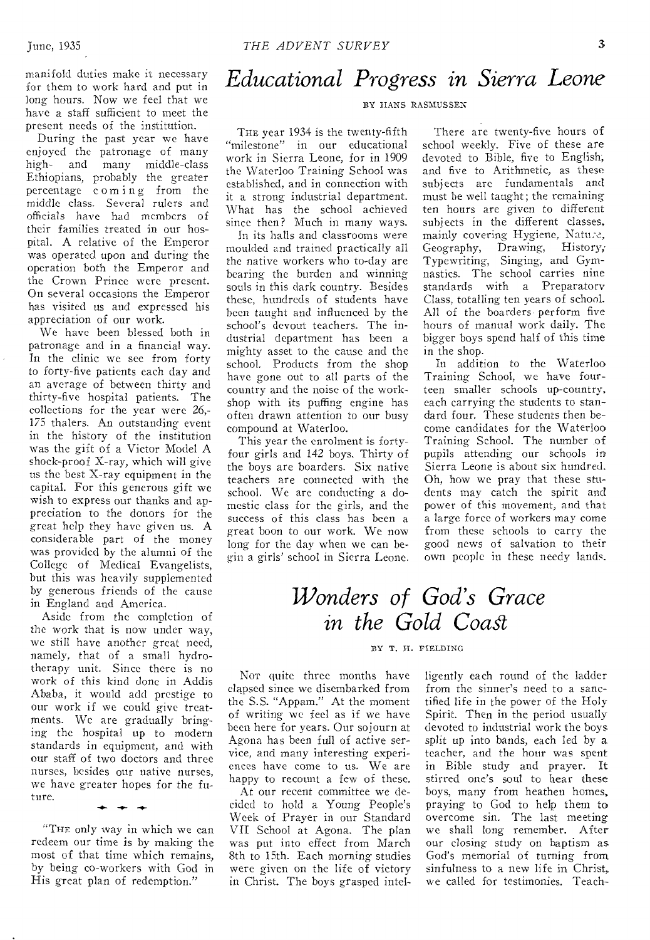manifold duties make it necessary for them to work hard and put in long hours. Now we feel that we have a staff sufficient to meet the present needs of the institution.

During the past year we have enjoyed the patronage of many high- and many middle-class Ethiopians, probably the greater percentage coming from the middle class. Several rulers and officials have had members of their families treated in our hospital. A relative of the Emperor was operated upon and during the operation both the Emperor and the Crown Prince were present. On several occasions the Emperor has visited us and expressed his appreciation of our work.

We have been blessed both in patronage and in a financial way. In the clinic we see from forty to forty-five patients each day and an average of between thirty and thirty-five hospital patients. The collections for the year were 26,- 175 thalers. An outstanding event in the history of the institution was the gift of a Victor Model A shock-proof X-ray, which will give us the best X-ray equipment in the capital. For this generous gift we wish to express our thanks and appreciation to the donors for the great help they have given us. A considerable part of the money was provided by the alumni of the College of Medical Evangelists, but this was heavily supplemented by generous friends of the cause in England and America.

Aside from the completion of the work that is now under way, we still have another great need, namely, that of a small hydrotherapy unit. Since there is no work of this kind done in Addis Ababa, it would add prestige to our work if we could give treatments. We are gradually bringing the hospital up to modern standards in equipment, and with our staff of two doctors and three nurses, besides our native nurses, we have greater hopes for the future.

"THE only way in which we can redeem our time is by making the most of that time which remains, by being co-workers with God in His great plan of redemption."

### *Educational Progress in Sierra Leone*

#### BY HANS RASMUSSEN

THE year 1934 is the twenty-fifth "milestone" in our educational work in Sierra Leone, for in 1909 the Waterloo Training School was established, and in connection with it a strong industrial department. What has the school achieved since then? Much in many ways.

In its halls and classrooms were moulded and trained practically all the native workers who to-day are bearing the burden and winning souls in this dark country. Besides these, hundreds of students have been taught and influenced by the school's devout teachers. The industrial department has been a mighty asset to the cause and the school. Products from the shop have gone out to all parts of the country and the noise of the workshop with its puffing engine has often drawn attention to our busy compound at Waterloo.

This year the enrolment is fortyfour girls and 142 boys. Thirty of the boys are boarders. Six native teachers are connected with the school. We are conducting a domestic class for the girls, and the success of this class has been a great boon to our work. We now long for the day when we can be gin a girls' school in Sierra Leone.

There are twenty-five hours of school weekly. Five of these are devoted to Bible, five to English; and five to Arithmetic, as these subjects are fundamentals and must be well taught; the remaining ten hours are given to different subjects in the different classes, mainly covering Hygiene, Nature, Geography, Drawing, History, Typewriting, Singing, and Gymnastics. The school carries nine standards with a Preparatory Class, totalling ten years of school. All of the boarders perform five hours of manual work daily. The bigger boys spend half of this time in the shop.

In addition to the Waterloo Training School, we have fourteen smaller schools up-country, each carrying the students to standard four. These students then become candidates for the Waterloo Training School. The number of pupils attending our schools in Sierra Leone is about six hundred. Oh, how we pray that these students may catch the spirit and power of this movement, and that a large force of workers may come from these schools to carry the good news of salvation to their own people in these needy lands.

### *Wonders of God's Grace in the Gold Coast*

#### BY T. H. FIELDING

NOT quite three months have elapsed since we disembarked from the S.S. "Appam." At the moment of writing we feel as if we have been here for years. Our sojourn at Agona has been full of active service, and many interesting experiences have come to us. We are happy to recount a few of these.

At our recent committee we decided to hold a Young People's Week of Prayer in our Standard VII School at Agona. The plan was put into effect from March 8th to 15th. Each morning studies were given on the life of victory in Christ. The boys grasped Intelligently each round of the ladder from the sinner's need to a sanctified life in the power of the Holy Spirit. Then in the period usually devoted to industrial work the boys split up into bands, each led by a teacher, and the hour was spent in Bible study and prayer. It stirred one's soul to hear these boys, many from heathen homes, praying to God to help them to overcome sin. The last meeting we shall long remember. After our closing study on baptism as God's memorial of turning from sinfulness to a new life in Christ, we called for testimonies. Teach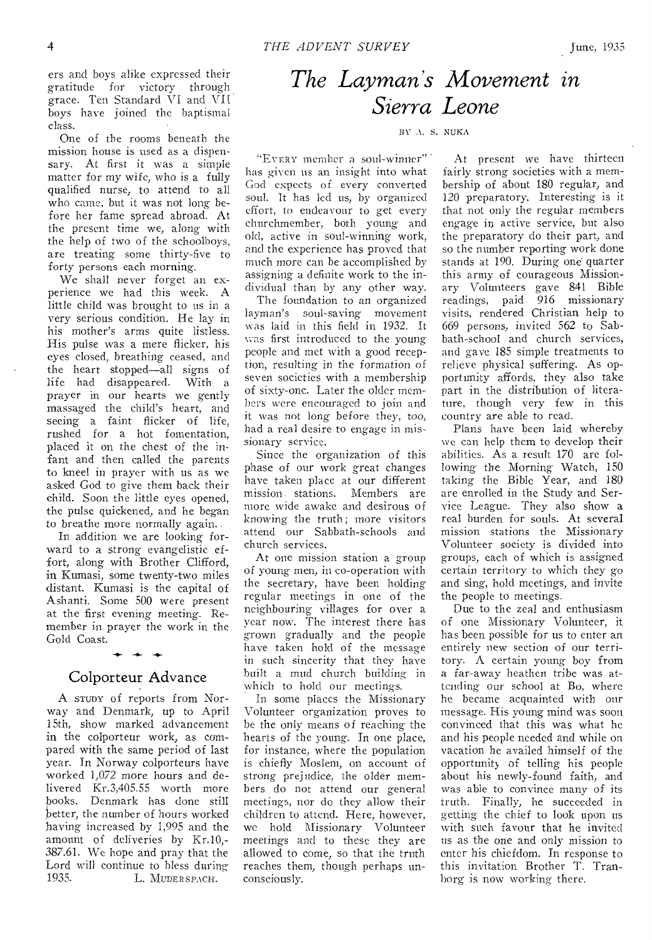ers and boys alike expressed their gratitude for victory through grace. Ten Standard VI and VII boys have joined the baptismal class.

One of the rooms beneath the mission house is used as a dispensary. At first it was a simple matter for my wife, who is a fully qualified nurse, to attend to all who came, but it was not long before her fame spread abroad. At the present time we, along with the help of two of the schoolboys, are treating some thirty-five to forty persons each morning.

We shall never forget an experience we had this week. A little child was brought to us in a very serious condition. He lay in his mother's arms quite listless. His pulse was a mere flicker, his eyes closed, breathing ceased, and the heart stopped—all signs of life had disappeared. With a prayer in our hearts we gently massaged the child's heart, and seeing a faint flicker of life, rushed for a hot fomentation, placed it on the chest of the infant and then called the parents to kneel in prayer with us as we asked God to give them back their child. Soon the little eyes opened, the pulse quickened, and he began to breathe more normally again..

In addition we are looking forward to a strong evangelistic effort, along with Brother Clifford, in Kumasi, some twenty-two miles distant. Kumasi is the capital of Ashanti. Some 500 were present at the first evening meeting. Remember in prayer the work in the Gold Coast.

### Colporteur Advance

 $\rightarrow$ 

A STUDY of reports from Norway and Denmark, up to April 15th, show marked advancement in the colporteur work, as compared with the same period of last year. In Norway colporteurs have worked 1,072 more hours and delivered Kr.3,405.55 worth more books. Denmark has done still better, the number of hours worked having increased by 1,995 and the amount of deliveries by Kr.10,- 387.61. We hope and pray that the Lord will continue to bless during<br>1935. L. MUDERSPACH. L. MUDERSPACH.

### *The Layman's Movement in Sierra Leone*

#### BY A. S. NUKA

"EvERY member a soul-winner" has given us an insight into what God expects of every converted soul. It has led us, by organized effort, to endeavour to get every churchmember, both young and old, active in soul-winning work, and the experience has proved that much more can be accomplished by assigning a definite work to the individual than by any other way.

The foundation to an organized layman's soul-saving movement was laid in this field in 1932. It was first introduced to the young people and met with a good reception, resulting in the formation of seven societies with a membership of sixty-one. Later the older members were encouraged to join and it was not long before they, too, had a real desire to engage in missionary service.

Since the organization of this phase of our work great changes have taken place at our different mission. stations. Members are more wide awake and desirous of knowing the truth; more visitors attend our Sabbath-schools and church services.

At one mission station a group of young men, in co-operation with the secretary, have been holding regular meetings in one of the neighbouring villages for over a year now. The interest there has grown gradually and the people have taken hold of the message in such sincerity that they have built a mud church building in which to hold our meetings.

In some places the Missionary Volunteer organization proves to be the only means of reaching the hearts of the young. In one place, for instance, where the population is chiefly Moslem, on account of strong prejudice, the older members do not attend our general meetings, nor do they allow their children to attend. Here, however, we hold Missionary Volunteer meetings and to these they are allowed to come, so that the truth reaches them, though perhaps unconsciously.

At present we have thirteen fairly strong societies with a membership of about 180 regular, and 120 preparatory. Interesting is it that not only the regular members engage in active service, but also the preparatory do their part, and so the number reporting work done stands at 190. During one quarter this army of courageous Missionary Volunteers gave 841 Bible readings, paid 916 missionary visits, rendered Christian help to 669 persons, invited 562 to Sabbath-school and church services, and gave 185 simple treatments to relieve physical suffering. As opportunity affords, they also take part in the distribution of literature, though very few in this country are able to read.

Plans have been laid whereby we can help them to develop their abilities. As a result 170 are following the Morning Watch, 150 taking the Bible Year, and 180 are enrolled in the Study and Service League. They also show a real burden for souls. At several mission stations the Missionary Volunteer society is divided into groups, each of which is assigned certain territory to which they go and sing, hold meetings, and invite the people to meetings.

Due to the zeal and enthusiasm of one Missionary Volunteer, it has been possible for us to enter an entirely new section of our territory. A certain young boy from a far-away heathen tribe was attending our school at Bo, where he became acquainted with our message. His young mind was soon convinced that this was what he and his people needed and while on vacation he availed himself of the opportunity of telling his people about his newly-found faith, and was able to convince many of its truth. Finally, he succeeded in getting the chief to look upon us with such favour that he invited *us* as the one and only mission to enter his chiefdom. In response to this invitation Brother T. Tranborg is now working there.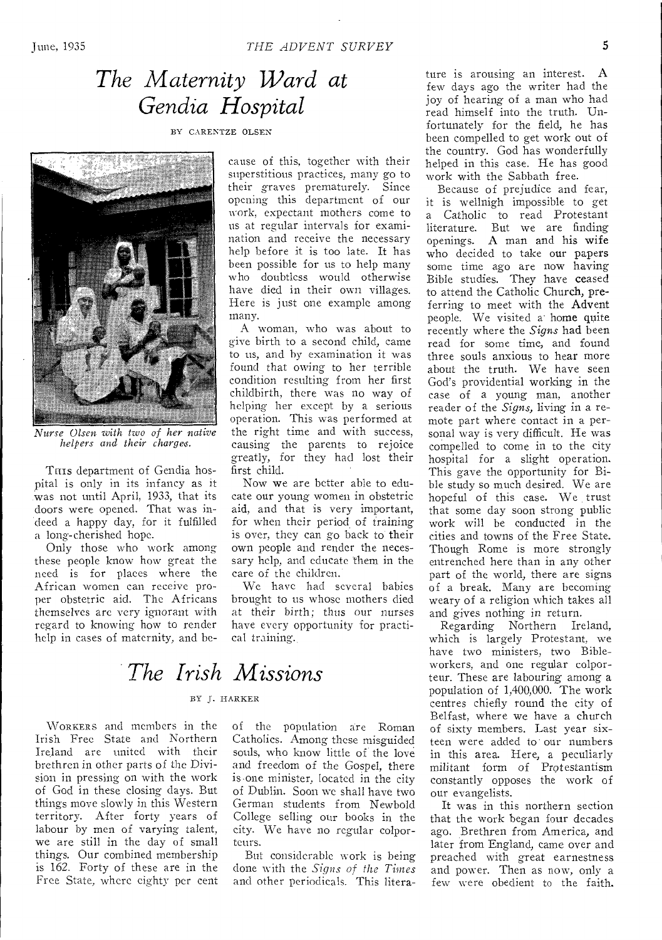### *The Maternity Ward at Gendia Hospital*

BY CARENTZE OLSEN



*Nurse Olsen with two of her native helpers and their charges.* 

THIS department of Gendia hospital is only in its infancy as it was not until April, 1933, that its doors were opened. That was indeed a happy day, for it fulfilled a long-cherished hope.

Only those who work among these people know how great the need is for places where the African women can receive proper obstetric aid. The Africans themselves arc very ignorant with regard to knowing how to render help in cases of maternity, and because of this, together with their superstitious practices, many go to their graves prematurely. Since opening this department of our work, expectant mothers come to us at regular intervals for examination and receive the necessary help before it is too late. It has been possible for us to help many who doubtless would otherwise have died in their own villages. Here is just one example among many.

A woman, who was about to give birth to a second child, came to us, and by examination it was found that owing to her terrible condition resulting from her first childbirth, there was no way of helping her except by a serious operation. This was performed at the right time and with success, causing the parents to rejoice greatly, for they had lost their first child.

Now we are better able to educate our young women in obstetric aid, and that is very important, for when their period of training is over, they can go back to their own people and render the necessary help, and educate them in the care of the children.

We have had several babies brought to us whose mothers died at their birth; thus our nurses have every opportunity for practical training.

### *The Irish Missions*

#### BY J. HARKER

WORKERS and members in the Irish Free State and Northern Ireland are united with their brethren in other parts of the Division in pressing on with the work of God in these closing days. But things move slowly in this Western territory. After forty years of labour by men of varying talent, we are still in the day of small things. Our combined membership is 162. Forty of these are in the Free State, where eighty per cent of the population are Roman Catholics. Among these misguided souls, who know little of the love and freedom of the Gospel, there is•one minister, located in the city of Dublin. Soon we shall have two German students from Newbold College selling our books in the city. We have no regular colporteurs.

But considerable work is being done with the *Signs of the Times*  and other periodicals. This litera-

ture is arousing an interest. A few days ago the writer had the joy of hearing of a man who had read himself into the truth. Unfortunately for the field, he has been compelled to get work out of the country. God has wonderfully helped in this case. He has good work with the Sabbath free.

Because of prejudice and fear, it is wellnigh impossible to get a Catholic to read Protestant literature. But we are finding openings. A man and his wife who decided to take our papers some time ago are now having Bible studies. They have ceased to attend the Catholic Church, preferring to meet with the Advent people. We visited a home quite recently where the *Signs* had been read for some time, and found three souls anxious to hear more about the truth. We have seen God's providential working in the case of a young man, another reader of the *Signs,* living in a remote part where contact in a personal way is very difficult. He was compelled to come in to the city hospital for a slight operation. This gave the opportunity for Bible study so much desired. We are hopeful of this case. We trust that some day soon strong public work will be conducted in the cities and towns of the Free State. Though Rome is more strongly entrenched here than in any other part of the world, there are signs of a break. Many are becoming weary of a religion which takes all and gives nothing in return.

Regarding Northern Ireland, which is largely Protestant, we have two ministers, two Bibleworkers, and one regular colporteur. These are labouring among *a*  population of 1,400,000. The work centres chiefly round the city of Belfast, where we have a church of sixty members. Last year sixteen were added to our numbers in this area. Here, a peculiarly militant form of Protestantism constantly opposes the work of our evangelists.

It was in this northern section that the work began four decades ago. Brethren from America, and later from England, came over and preached with great earnestness and power. Then as now, only a few were obedient to the faith.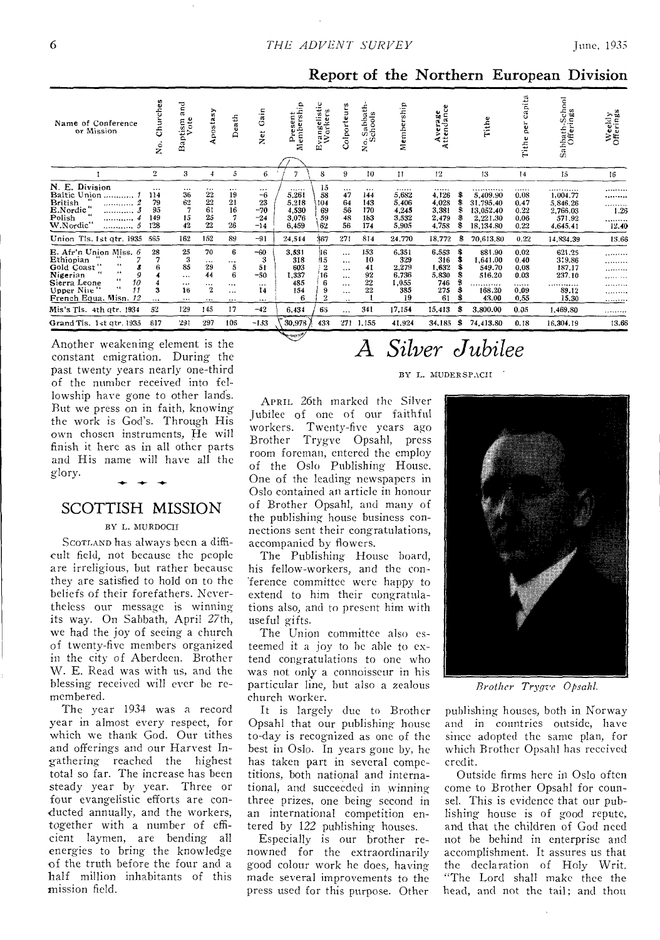| Name of Conference<br>or Mission                                                                                                                            | Churches<br>2.                    | 깉<br>tism<br>Vote<br>≏<br>ã                     | Apostasy                                                   | Death                                                        | ain<br>O<br>ã<br>z                                      | Present<br>Membersh<br>Δ.                       | ŧe<br>w,<br>ngeli:<br>orker<br>$\alpha >$<br>ш | ۴<br>Colporteu                                                            | 운<br>Sabbat<br>chools<br>$\circ$<br>ż       | embership<br>Σ                                       | Average<br>.ttendance                              |        | ω<br>Ě                                                          | capita<br>per<br>¢,<br>Tith.                     | chool<br>Igs<br>Sabbath-Sc<br>Offering                      | Weekly<br>Offerings            |
|-------------------------------------------------------------------------------------------------------------------------------------------------------------|-----------------------------------|-------------------------------------------------|------------------------------------------------------------|--------------------------------------------------------------|---------------------------------------------------------|-------------------------------------------------|------------------------------------------------|---------------------------------------------------------------------------|---------------------------------------------|------------------------------------------------------|----------------------------------------------------|--------|-----------------------------------------------------------------|--------------------------------------------------|-------------------------------------------------------------|--------------------------------|
|                                                                                                                                                             | $\overline{2}$                    | 3                                               | 4                                                          | $\bar{5}$                                                    | 6                                                       | 7                                               | 8                                              | 9                                                                         | 10                                          | $\mathbf{H}$                                         | 12                                                 |        | 13                                                              | 14                                               | 15                                                          | 16                             |
| N. E. Division<br><b>Baltic Union</b><br><b>British</b><br><br>E.Nordic"<br><br>Polish<br><br>W.Nordic"<br>                                                 | <br>114<br>79<br>95<br>149<br>128 | $\cdots$<br>36<br>62<br>15<br>42                | $\cdots$<br>22<br>22<br>61<br>25<br>22                     | $\cdots$<br>19<br>21<br>16<br>26                             | $\cdots$<br>$-6$<br>23<br>$-70$<br>$-24$<br>$-14$       | <br>5,261<br>5.218<br>4,530<br>3.076<br>6,459   | 15<br>58<br>104<br>69<br>59<br>62              | $\cdots$<br>47<br>64<br>56<br>48<br>56                                    | $\cdots$<br>144<br>143<br>170<br>183<br>174 | <br>5,682<br>5.406<br>4,245<br>3,532<br>5,905        | <br>4,126<br>4,028<br>3,381<br>2,479<br>4,758      | S<br>S | <br>5,409.90<br>31,795.40<br>13,052.40<br>2,221.30<br>18,134.80 | <br>0.08<br>0.47<br>0.22<br>0.06<br>0.22         | .<br>1,004.77<br>5,846.26<br>2.766.03<br>571.92<br>4,645.41 | .<br><br><br>1.26<br><br>12.40 |
| Union Tls. 1st qtr. 1935                                                                                                                                    | 565                               | 162                                             | 152                                                        | 89                                                           | $-91$                                                   | 24,544                                          | 367                                            | 271                                                                       | 814                                         | 24,770                                               | 18,772                                             | 8      | 70,613.80                                                       | 0.22                                             | 14,834.39                                                   | 13.66                          |
| E. Afr'n Union Miss. 6<br>Ethiopian<br>Gold Coast<br>$^{4.4}$<br>Nigerian<br>$+ 4$<br>Sierra Leone<br>10<br>44<br>11<br>Upper Niie<br>French Equa. Misn. 12 | 28<br>3<br>                       | 25<br>3<br>85<br>$\cdots$<br><br>16<br>$\cdots$ | 70<br>$\cdots$<br>29<br>44<br>$\cdots$<br>$\mathbf{2}$<br> | 6<br>$\cdots$<br>5<br>6<br>$\ddotsc$<br>$\cdots$<br>$\cdots$ | $-60$<br>3<br>51<br>$-50$<br>$\cdots$<br>14<br>$\cdots$ | 3,531<br>318<br>603<br>1,337<br>485<br>154<br>6 | 16<br>15<br>16<br>6<br>$\overline{2}$          | $\cdots$<br>$\cdots$<br>$\cdots$<br><br>$\cdots$<br>$\cdots$<br>$\ddotsc$ | 153<br>10<br>41<br>92<br>22<br>22           | 6,351<br>329<br>2,279<br>6.736<br>1,055<br>385<br>19 | 6,553<br>316<br>1.632<br>5,830<br>746<br>275<br>61 | S<br>ß | 881.90<br>1,641.00<br>549.70<br>516.20<br>.<br>168.20<br>43.00  | 0.02<br>0.40<br>0.08<br>0.03<br><br>0.09<br>0.55 | 621.25<br>319.86<br>187,17<br>237.10<br>.<br>89.12<br>15.30 | .<br><br>.<br>.<br>.<br>.<br>  |
| Mis's Tls. 4th atr. 1934                                                                                                                                    | 52                                | 129                                             | 145                                                        | 17                                                           | $-42$                                                   | 6.434                                           | 65                                             |                                                                           | 341                                         | 17,154                                               | 15,413                                             | S      | 3,800.00                                                        | 0.05                                             | 1,469.80                                                    |                                |
| Grand Tls. 1st qtr. 1935                                                                                                                                    | 617                               | 291                                             | 297                                                        | 106                                                          | $-133$                                                  | 30,978                                          | 433                                            |                                                                           | 271 1,155                                   | 41.924                                               | 34,185                                             | S      | 74,413.80                                                       | 0.18                                             | 16.304.19                                                   | 13.66                          |

Another weakening element is the constant emigration. During the past twenty years nearly one-third of the number received into fellowship have gone to other lands. But we press on in faith, knowing the work is God's. Through His own chosen instruments, He will finish it here as in all other parts and His name will have all the glory.

#### **SCOTTISH MISSION**

#### BY L. MURDOCH

SCOTLAND has always been a difficult field, not because the people are irreligious, but rather because they are satisfied to hold on to the beliefs of their forefathers. Nevertheless our message is winning its way. On Sabbath, April 27th, we had the joy of seeing a church of twenty-five members organized in the city of Aberdeen. Brother W. E. Read was with us, and the blessing received will ever be remembered.

The year 1934 was a record year in almost every respect, for which we thank God. Our tithes and offerings and our Harvest Ingathering reached the highest total so far. The increase has been steady year by year. Three or four evangelistic efforts are conducted annually, and the workers, together with a number of efficient laymen, are bending all energies to bring the knowledge of the truth before the four and a half million inhabitants of this mission field.

## A Silver Jubilee

Report of the Northern European Division

#### BY L. MUDERSPACII

APRIL 26th marked the Silver Jubilee of one of our faithful workers. Twenty-five years ago Brother Trygve Opsahl, press room foreman, entered the employ of the Oslo Publishing House. One of the leading newspapers in Oslo contained an article in honour of Brother Opsahl, and many of the publishing house business connections sent their congratulations, accompanied by flowers.

The Publishing House board, his fellow-workers, and the conference committee were happy to extend to him their congratulations also, and to present him with useful gifts.

The Union committée also esteemed it a joy to be able to extend congratulations to one who was not only a connoisseur in his particular line, but also a zealous church worker.

It is largely due to Brother Opsahl that our publishing house to-day is recognized as one of the best in Oslo. In years gone by, he has taken part in several competitions, both national and international, and succeeded in winning three prizes, one being second in an international competition entered by 122 publishing houses.

Especially is our brother renowned for the extraordinarily good colour work he does, having made several improvements to the press used for this purpose. Other



Brother Trygve Opsahl.

publishing houses, both in Norway and in countries outside, have since adopted the same plan, for which Brother Opsahl has received credit.

Outside firms here in Oslo often come to Brother Opsahl for counsel. This is evidence that our publishing house is of good repute, and that the children of God need not be behind in enterprise and accomplishment. It assures us that the declaration of Holy Writ, "The Lord shall make thee the head, and not the tail; and thou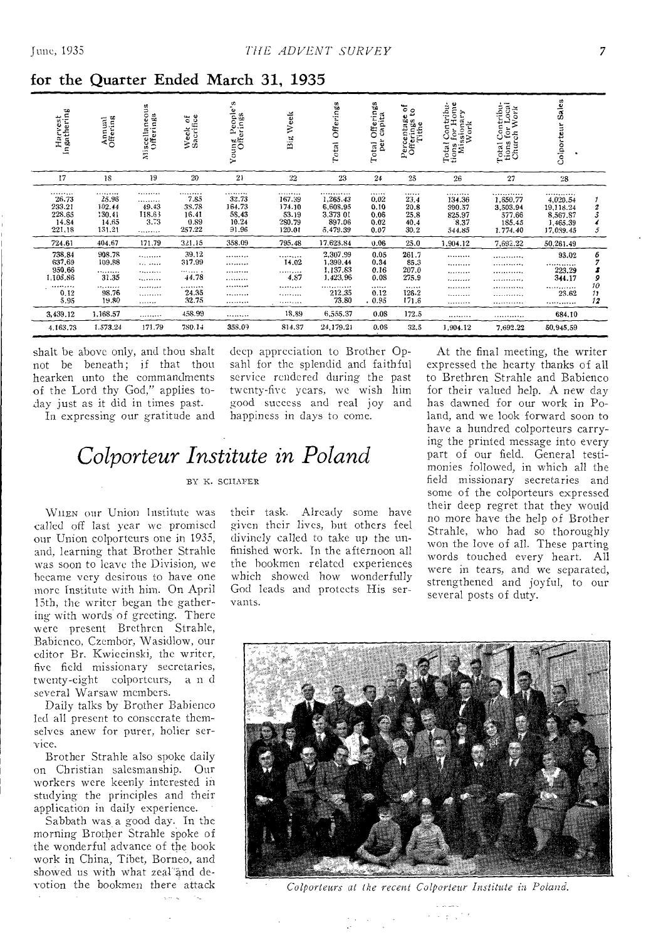| Harvest<br>Ingathering                                    | Annual<br>Offering                               | Miscellaneous<br>Offerings          | Week of<br>Sacrifice                                         | Young People's<br>Offerings                     | Week<br>Big                                       | Offerings<br>Total                                         | Offerings<br>capita<br>per<br>Total      | Percentage of<br>Offerings to<br>Tithe   | Total Contribu-<br>tions for Home<br>Missionary<br>Work | Total Contribu-<br>tions for Local<br>Church Work                | Sales<br>Colporteur                                            |                    |
|-----------------------------------------------------------|--------------------------------------------------|-------------------------------------|--------------------------------------------------------------|-------------------------------------------------|---------------------------------------------------|------------------------------------------------------------|------------------------------------------|------------------------------------------|---------------------------------------------------------|------------------------------------------------------------------|----------------------------------------------------------------|--------------------|
| 17                                                        | 18                                               | 19                                  | 20                                                           | 21                                              | 22                                                | 23                                                         | 24                                       | 25                                       | 26                                                      | 27                                                               | 28                                                             |                    |
| *********<br>26.73<br>233.21<br>228.65<br>14.84<br>221.18 | <br>25.96<br>102.44<br>130.41<br>14.65<br>131.21 | <br><br>49.43<br>118.63<br>3.73<br> | <b>*********</b><br>7.85<br>38.78<br>16.41<br>0.89<br>257.22 | .<br>32.73<br>164.73<br>58.43<br>10.24<br>91.96 | <br>167.39<br>174.10<br>53.19<br>280.79<br>120.01 | <br>1,265.43<br>6.608.95<br>3.373 01<br>897.06<br>5.479.39 | <br>0.02<br>0.10<br>0.06<br>0.02<br>0.07 | <br>23.4<br>20.8<br>25.8<br>40.4<br>30.2 | <br>134.36<br>390.57<br>825.97<br>8.37<br>544.85        | <b>.</b><br>1,650.77<br>3,503.94<br>577.66<br>185.45<br>1.774.40 | <br>4,020.54<br>19,118.24<br>8,567.87<br>1,465.39<br>17,089.45 | 2<br>3<br>5        |
| 724.61                                                    | 404.67                                           | 171.79                              | 321.15                                                       | 358.09                                          | 795.48                                            | 17.623.84                                                  | 0.06                                     | 25.0                                     | 1,904.12                                                | 7,692.22                                                         | 50,261.49                                                      |                    |
| 738,84<br>637.69<br>950.66<br>1,105.86                    | 908.78<br>109.88<br><br>31.35                    | .<br>.<br><br><b>*********</b>      | 39.12<br>317.99<br><b>TERRITA</b><br>44.78                   | <br><br><br>.                                   | <br>14.02<br><br>4.87                             | 2,307.99<br>1,399.44<br>1,137.83<br>1,423.96               | 0.05<br>0.34<br>0.16<br>0.08             | 261.7<br>85.3<br>207.0<br>275.9          | <br><br><br>                                            | <br>.<br>. <b>.</b> .<br>.                                       | 93.02<br><br>223.29<br>344.17                                  | 6<br>7<br>3<br>9   |
| ,,,,,,,,,<br>0.12<br>5.95                                 | .<br>98.76<br>19.80                              | <br><br>.                           | .<br>24.35<br>32.75                                          | <br><br>                                        | <br>.<br>                                         | <br>212.35<br>73.80                                        | <br>0.12<br>.0.95                        | <br>126.2<br>171.6                       | <br><br>                                                | .<br><br>                                                        | ************<br>23.62<br>                                      | $^{10}_{11}$<br>12 |
| 3,439.12                                                  | 1.168.57                                         |                                     | 458.99                                                       |                                                 | 18.89                                             | 6,555.37                                                   | 0.08                                     | 172.5                                    |                                                         |                                                                  | 684.10                                                         |                    |
| 4,163.73                                                  | 1.573.24                                         | 171.79                              | 780.14                                                       | 358.09                                          | 814.37                                            | 24,179.21                                                  | 0.05                                     | 32.5                                     | 1,904.12                                                | 7.692.22                                                         | 50,945.59                                                      |                    |

for the Quarter Ended March 31, 1935

shalt be above only, and thou shalt not be beneath; if that thou hearken unto the commandments of the Lord thy God," applies today just as it did in times past.

In expressing our gratitude and

deep appreciation to Brother Opsahl for the splendid and faithful service rendered during the past twenty-five years, we wish him good success and real joy and happiness in days to come.

## Colporteur Institute in Poland

BY K. SCHAFER

WHEN our Union Institute was called off last year we promised our Union colporteurs one in 1935, and, learning that Brother Strahle was soon to leave the Division, we became very desirous to have one more Institute with him. On April 15th, the writer began the gathering with words of greeting. There were present Brethren Strahle, Babienco, Czembor, Wasidlow, our editor Br. Kwiecinski, the writer, five field missionary secretaries, twenty-eight colporteurs, and several Warsaw members.

Daily talks by Brother Babienco led all present to consecrate themselves anew for purer, holier service.

Brother Strahle also spoke daily on Christian salesmanship. Our workers were keenly interested in studying the principles and their application in daily experience.

Sabbath was a good day. In the morning Brother Strahle spoke of the wonderful advance of the book work in China, Tibet, Borneo, and showed us with what zeal and devotion the bookmen there attack their task. Already some have given their lives, but others feel divinely called to take up the unfinished work. In the afternoon all the bookmen related experiences which showed how wonderfully God leads and protects His servants.

At the final meeting, the writer expressed the hearty thanks of all to Brethren Strahle and Babienco for their valued help. A new day has dawned for our work in Poland, and we look forward soon to have a hundred colporteurs carrying the printed message into every part of our field. General testimonies followed, in which all the field missionary secretaries and some of the colporteurs expressed their deep regret that they would no more have the help of Brother Strahle, who had so thoroughly won the love of all. These parting words touched every heart. All were in tears, and we separated, strengthened and joyful, to our several posts of duty.



Colporteurs at the recent Colporteur Institute in Poland.

Service 10